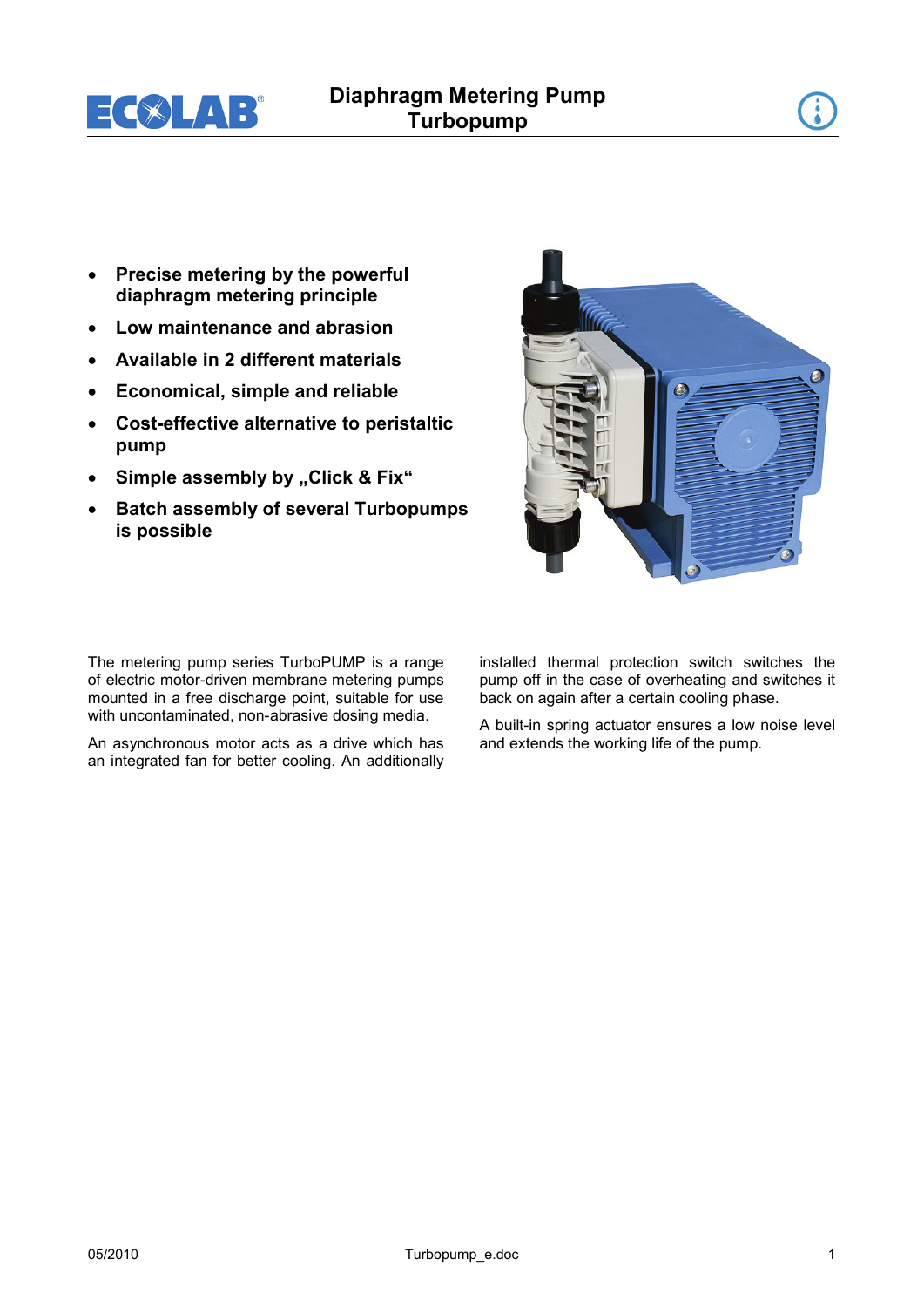

- **Precise metering by the powerful diaphragm metering principle**
- **Low maintenance and abrasion**
- **Available in 2 different materials**
- **Economical, simple and reliable**
- **Cost-effective alternative to peristaltic pump**
- Simple assembly by "Click & Fix"
- **Batch assembly of several Turbopumps is possible**

The metering pump series TurboPUMP is a range of electric motor-driven membrane metering pumps mounted in a free discharge point, suitable for use with uncontaminated, non-abrasive dosing media.

An asynchronous motor acts as a drive which has an integrated fan for better cooling. An additionally installed thermal protection switch switches the pump off in the case of overheating and switches it back on again after a certain cooling phase.

A built-in spring actuator ensures a low noise level and extends the working life of the pump.